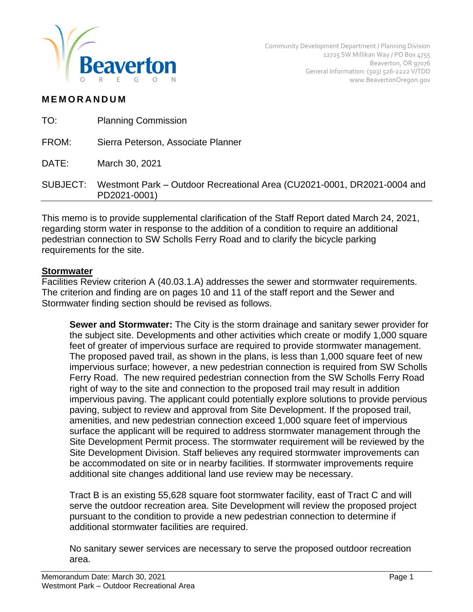

### **M E M O R A N D U M**

| TO:      | <b>Planning Commission</b>                                                              |
|----------|-----------------------------------------------------------------------------------------|
| FROM:    | Sierra Peterson, Associate Planner                                                      |
| DATE:    | March 30, 2021                                                                          |
| SUBJECT: | Westmont Park – Outdoor Recreational Area (CU2021-0001, DR2021-0004 and<br>PD2021-0001) |
|          |                                                                                         |

This memo is to provide supplemental clarification of the Staff Report dated March 24, 2021, regarding storm water in response to the addition of a condition to require an additional pedestrian connection to SW Scholls Ferry Road and to clarify the bicycle parking requirements for the site.

#### **Stormwater**

Facilities Review criterion A (40.03.1.A) addresses the sewer and stormwater requirements. The criterion and finding are on pages 10 and 11 of the staff report and the Sewer and Stormwater finding section should be revised as follows.

**Sewer and Stormwater:** The City is the storm drainage and sanitary sewer provider for the subject site. Developments and other activities which create or modify 1,000 square feet of greater of impervious surface are required to provide stormwater management. The proposed paved trail, as shown in the plans, is less than 1,000 square feet of new impervious surface; however, a new pedestrian connection is required from SW Scholls Ferry Road. The new required pedestrian connection from the SW Scholls Ferry Road right of way to the site and connection to the proposed trail may result in addition impervious paving. The applicant could potentially explore solutions to provide pervious paving, subject to review and approval from Site Development. If the proposed trail, amenities, and new pedestrian connection exceed 1,000 square feet of impervious surface the applicant will be required to address stormwater management through the Site Development Permit process. The stormwater requirement will be reviewed by the Site Development Division. Staff believes any required stormwater improvements can be accommodated on site or in nearby facilities. If stormwater improvements require additional site changes additional land use review may be necessary.

Tract B is an existing 55,628 square foot stormwater facility, east of Tract C and will serve the outdoor recreation area. Site Development will review the proposed project pursuant to the condition to provide a new pedestrian connection to determine if additional stormwater facilities are required.

No sanitary sewer services are necessary to serve the proposed outdoor recreation area.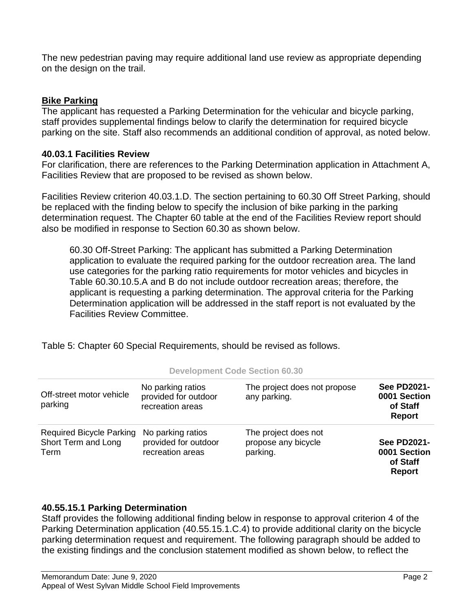The new pedestrian paving may require additional land use review as appropriate depending on the design on the trail.

## **Bike Parking**

The applicant has requested a Parking Determination for the vehicular and bicycle parking, staff provides supplemental findings below to clarify the determination for required bicycle parking on the site. Staff also recommends an additional condition of approval, as noted below.

## **40.03.1 Facilities Review**

For clarification, there are references to the Parking Determination application in Attachment A, Facilities Review that are proposed to be revised as shown below.

Facilities Review criterion 40.03.1.D. The section pertaining to 60.30 Off Street Parking, should be replaced with the finding below to specify the inclusion of bike parking in the parking determination request. The Chapter 60 table at the end of the Facilities Review report should also be modified in response to Section 60.30 as shown below.

60.30 Off-Street Parking: The applicant has submitted a Parking Determination application to evaluate the required parking for the outdoor recreation area. The land use categories for the parking ratio requirements for motor vehicles and bicycles in Table 60.30.10.5.A and B do not include outdoor recreation areas; therefore, the applicant is requesting a parking determination. The approval criteria for the Parking Determination application will be addressed in the staff report is not evaluated by the Facilities Review Committee.

Table 5: Chapter 60 Special Requirements, should be revised as follows.

| Off-street motor vehicle<br>parking                            | No parking ratios<br>provided for outdoor<br>recreation areas | The project does not propose<br>any parking.            | <b>See PD2021-</b><br>0001 Section<br>of Staff<br><b>Report</b> |
|----------------------------------------------------------------|---------------------------------------------------------------|---------------------------------------------------------|-----------------------------------------------------------------|
| <b>Required Bicycle Parking</b><br>Short Term and Long<br>Term | No parking ratios<br>provided for outdoor<br>recreation areas | The project does not<br>propose any bicycle<br>parking. | <b>See PD2021-</b><br>0001 Section<br>of Staff<br><b>Report</b> |

#### **Development Code Section 60.30**

# **40.55.15.1 Parking Determination**

Staff provides the following additional finding below in response to approval criterion 4 of the Parking Determination application (40.55.15.1.C.4) to provide additional clarity on the bicycle parking determination request and requirement. The following paragraph should be added to the existing findings and the conclusion statement modified as shown below, to reflect the